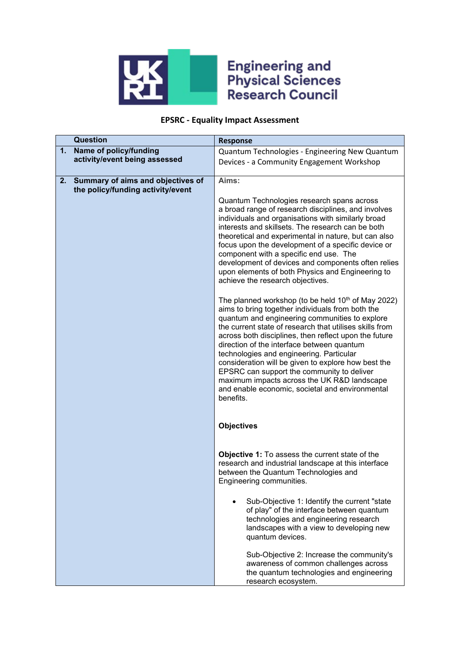

## **Engineering and<br>Physical Sciences<br>Research Council**

## **EPSRC - Equality Impact Assessment**

| <b>Question</b>                   |                                   | <b>Response</b>                                                                                                                                                                                                                                                                                                                                                                                                                                                                                                                                                                                        |
|-----------------------------------|-----------------------------------|--------------------------------------------------------------------------------------------------------------------------------------------------------------------------------------------------------------------------------------------------------------------------------------------------------------------------------------------------------------------------------------------------------------------------------------------------------------------------------------------------------------------------------------------------------------------------------------------------------|
| Name of policy/funding<br>1.      |                                   | Quantum Technologies - Engineering New Quantum                                                                                                                                                                                                                                                                                                                                                                                                                                                                                                                                                         |
| activity/event being assessed     |                                   | Devices - a Community Engagement Workshop                                                                                                                                                                                                                                                                                                                                                                                                                                                                                                                                                              |
|                                   |                                   |                                                                                                                                                                                                                                                                                                                                                                                                                                                                                                                                                                                                        |
| 2.                                | Summary of aims and objectives of | Aims:                                                                                                                                                                                                                                                                                                                                                                                                                                                                                                                                                                                                  |
| the policy/funding activity/event |                                   |                                                                                                                                                                                                                                                                                                                                                                                                                                                                                                                                                                                                        |
|                                   |                                   | Quantum Technologies research spans across<br>a broad range of research disciplines, and involves<br>individuals and organisations with similarly broad<br>interests and skillsets. The research can be both<br>theoretical and experimental in nature, but can also<br>focus upon the development of a specific device or<br>component with a specific end use. The                                                                                                                                                                                                                                   |
|                                   |                                   | development of devices and components often relies<br>upon elements of both Physics and Engineering to<br>achieve the research objectives.                                                                                                                                                                                                                                                                                                                                                                                                                                                             |
|                                   |                                   | The planned workshop (to be held 10 <sup>th</sup> of May 2022)<br>aims to bring together individuals from both the<br>quantum and engineering communities to explore<br>the current state of research that utilises skills from<br>across both disciplines, then reflect upon the future<br>direction of the interface between quantum<br>technologies and engineering. Particular<br>consideration will be given to explore how best the<br>EPSRC can support the community to deliver<br>maximum impacts across the UK R&D landscape<br>and enable economic, societal and environmental<br>benefits. |
|                                   |                                   | <b>Objectives</b>                                                                                                                                                                                                                                                                                                                                                                                                                                                                                                                                                                                      |
|                                   |                                   | <b>Objective 1:</b> To assess the current state of the<br>research and industrial landscape at this interface<br>between the Quantum Technologies and<br>Engineering communities.                                                                                                                                                                                                                                                                                                                                                                                                                      |
|                                   |                                   | Sub-Objective 1: Identify the current "state<br>of play" of the interface between quantum<br>technologies and engineering research<br>landscapes with a view to developing new<br>quantum devices.                                                                                                                                                                                                                                                                                                                                                                                                     |
|                                   |                                   | Sub-Objective 2: Increase the community's<br>awareness of common challenges across<br>the quantum technologies and engineering<br>research ecosystem.                                                                                                                                                                                                                                                                                                                                                                                                                                                  |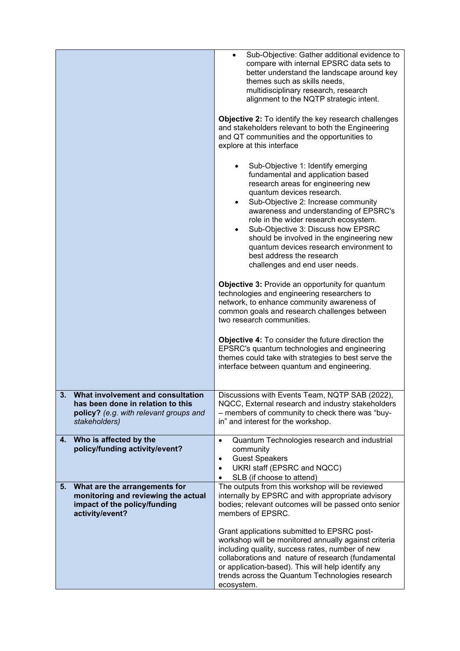|                                                                                                                                   | Sub-Objective: Gather additional evidence to<br>compare with internal EPSRC data sets to<br>better understand the landscape around key<br>themes such as skills needs,<br>multidisciplinary research, research<br>alignment to the NQTP strategic intent.<br><b>Objective 2:</b> To identify the key research challenges<br>and stakeholders relevant to both the Engineering<br>and QT communities and the opportunities to<br>explore at this interface<br>Sub-Objective 1: Identify emerging<br>fundamental and application based<br>research areas for engineering new<br>quantum devices research.<br>Sub-Objective 2: Increase community<br>awareness and understanding of EPSRC's<br>role in the wider research ecosystem.<br>Sub-Objective 3: Discuss how EPSRC<br>should be involved in the engineering new<br>quantum devices research environment to<br>best address the research<br>challenges and end user needs.<br><b>Objective 3: Provide an opportunity for quantum</b><br>technologies and engineering researchers to<br>network, to enhance community awareness of<br>common goals and research challenges between<br>two research communities. |
|-----------------------------------------------------------------------------------------------------------------------------------|--------------------------------------------------------------------------------------------------------------------------------------------------------------------------------------------------------------------------------------------------------------------------------------------------------------------------------------------------------------------------------------------------------------------------------------------------------------------------------------------------------------------------------------------------------------------------------------------------------------------------------------------------------------------------------------------------------------------------------------------------------------------------------------------------------------------------------------------------------------------------------------------------------------------------------------------------------------------------------------------------------------------------------------------------------------------------------------------------------------------------------------------------------------------|
|                                                                                                                                   | <b>Objective 4:</b> To consider the future direction the<br>EPSRC's quantum technologies and engineering<br>themes could take with strategies to best serve the<br>interface between quantum and engineering.                                                                                                                                                                                                                                                                                                                                                                                                                                                                                                                                                                                                                                                                                                                                                                                                                                                                                                                                                      |
| What involvement and consultation<br>has been done in relation to this<br>policy? (e.g. with relevant groups and<br>stakeholders) | Discussions with Events Team, NQTP SAB (2022),<br>NQCC, External research and industry stakeholders<br>- members of community to check there was "buy-<br>in" and interest for the workshop.                                                                                                                                                                                                                                                                                                                                                                                                                                                                                                                                                                                                                                                                                                                                                                                                                                                                                                                                                                       |
| Who is affected by the<br>4.<br>policy/funding activity/event?                                                                    | Quantum Technologies research and industrial<br>$\bullet$<br>community<br><b>Guest Speakers</b><br>$\bullet$<br>UKRI staff (EPSRC and NQCC)<br>$\bullet$<br>SLB (if choose to attend)<br>$\bullet$                                                                                                                                                                                                                                                                                                                                                                                                                                                                                                                                                                                                                                                                                                                                                                                                                                                                                                                                                                 |
| What are the arrangements for<br>5.<br>monitoring and reviewing the actual<br>impact of the policy/funding<br>activity/event?     | The outputs from this workshop will be reviewed<br>internally by EPSRC and with appropriate advisory<br>bodies; relevant outcomes will be passed onto senior<br>members of EPSRC.<br>Grant applications submitted to EPSRC post-<br>workshop will be monitored annually against criteria<br>including quality, success rates, number of new<br>collaborations and nature of research (fundamental<br>or application-based). This will help identify any<br>trends across the Quantum Technologies research<br>ecosystem.                                                                                                                                                                                                                                                                                                                                                                                                                                                                                                                                                                                                                                           |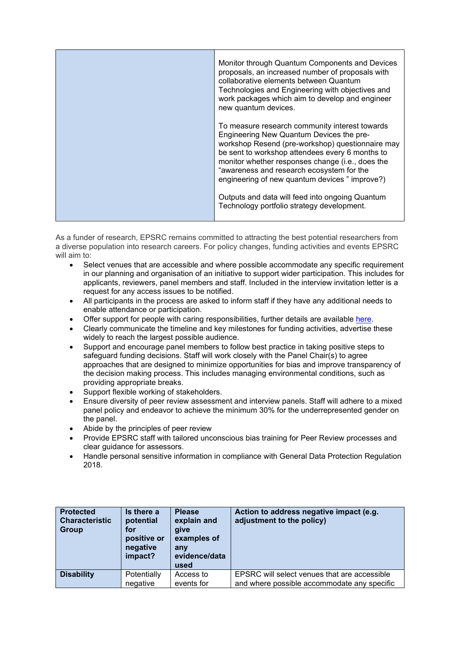| Monitor through Quantum Components and Devices<br>proposals, an increased number of proposals with<br>collaborative elements between Quantum<br>Technologies and Engineering with objectives and<br>work packages which aim to develop and engineer<br>new quantum devices.                                                                          |
|------------------------------------------------------------------------------------------------------------------------------------------------------------------------------------------------------------------------------------------------------------------------------------------------------------------------------------------------------|
| To measure research community interest towards<br>Engineering New Quantum Devices the pre-<br>workshop Resend (pre-workshop) questionnaire may<br>be sent to workshop attendees every 6 months to<br>monitor whether responses change (i.e., does the<br>"awareness and research ecosystem for the<br>engineering of new quantum devices " improve?) |
| Outputs and data will feed into ongoing Quantum<br>Technology portfolio strategy development.                                                                                                                                                                                                                                                        |

As a funder of research, EPSRC remains committed to attracting the best potential researchers from a diverse population into research careers. For policy changes, funding activities and events EPSRC will aim to:

- Select venues that are accessible and where possible accommodate any specific requirement in our planning and organisation of an initiative to support wider participation. This includes for applicants, reviewers, panel members and staff. Included in the interview invitation letter is a request for any access issues to be notified.
- All participants in the process are asked to inform staff if they have any additional needs to enable attendance or participation.
- Offer support for people with caring responsibilities, further details are available [here.](https://epsrc.ukri.org/funding/applicationprocess/basics/caringresponsibilities/)
- Clearly communicate the timeline and key milestones for funding activities, advertise these widely to reach the largest possible audience.
- Support and encourage panel members to follow best practice in taking positive steps to safeguard funding decisions. Staff will work closely with the Panel Chair(s) to agree approaches that are designed to minimize opportunities for bias and improve transparency of the decision making process. This includes managing environmental conditions, such as providing appropriate breaks.
- Support flexible working of stakeholders.
- Ensure diversity of peer review assessment and interview panels. Staff will adhere to a mixed panel policy and endeavor to achieve the minimum 30% for the underrepresented gender on the panel.
- Abide by the principles of peer review
- Provide EPSRC staff with tailored unconscious bias training for Peer Review processes and clear guidance for assessors.
- Handle personal sensitive information in compliance with General Data Protection Regulation 2018.

| <b>Protected</b><br><b>Characteristic</b><br>Group | Is there a<br>potential<br>for<br>positive or<br>negative<br>impact? | <b>Please</b><br>explain and<br>give<br>examples of<br>anv<br>evidence/data<br>used | Action to address negative impact (e.g.<br>adjustment to the policy) |
|----------------------------------------------------|----------------------------------------------------------------------|-------------------------------------------------------------------------------------|----------------------------------------------------------------------|
| <b>Disability</b>                                  | Potentially                                                          | Access to                                                                           | EPSRC will select venues that are accessible                         |
|                                                    | negative                                                             | events for                                                                          | and where possible accommodate any specific                          |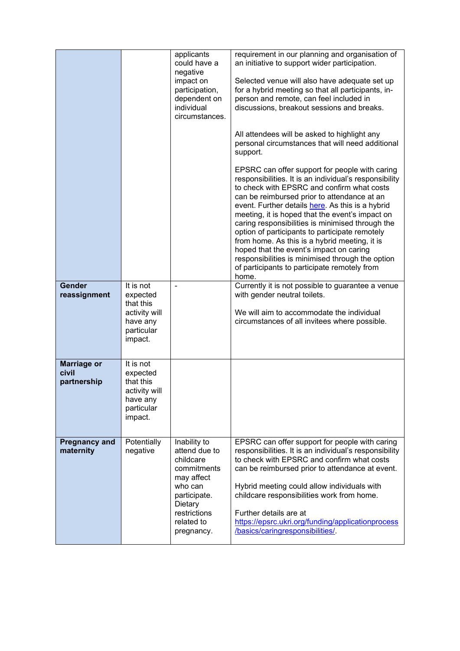| <b>Gender</b><br>reassignment              | It is not<br>expected<br>that this<br>activity will                                      | applicants<br>could have a<br>negative<br>impact on<br>participation,<br>dependent on<br>individual<br>circumstances.                                     | requirement in our planning and organisation of<br>an initiative to support wider participation.<br>Selected venue will also have adequate set up<br>for a hybrid meeting so that all participants, in-<br>person and remote, can feel included in<br>discussions, breakout sessions and breaks.<br>All attendees will be asked to highlight any<br>personal circumstances that will need additional<br>support.<br>EPSRC can offer support for people with caring<br>responsibilities. It is an individual's responsibility<br>to check with EPSRC and confirm what costs<br>can be reimbursed prior to attendance at an<br>event. Further details here. As this is a hybrid<br>meeting, it is hoped that the event's impact on<br>caring responsibilities is minimised through the<br>option of participants to participate remotely<br>from home. As this is a hybrid meeting, it is<br>hoped that the event's impact on caring<br>responsibilities is minimised through the option<br>of participants to participate remotely from<br>home.<br>Currently it is not possible to guarantee a venue<br>with gender neutral toilets.<br>We will aim to accommodate the individual |
|--------------------------------------------|------------------------------------------------------------------------------------------|-----------------------------------------------------------------------------------------------------------------------------------------------------------|-----------------------------------------------------------------------------------------------------------------------------------------------------------------------------------------------------------------------------------------------------------------------------------------------------------------------------------------------------------------------------------------------------------------------------------------------------------------------------------------------------------------------------------------------------------------------------------------------------------------------------------------------------------------------------------------------------------------------------------------------------------------------------------------------------------------------------------------------------------------------------------------------------------------------------------------------------------------------------------------------------------------------------------------------------------------------------------------------------------------------------------------------------------------------------------|
|                                            | have any<br>particular<br>impact.                                                        |                                                                                                                                                           | circumstances of all invitees where possible.                                                                                                                                                                                                                                                                                                                                                                                                                                                                                                                                                                                                                                                                                                                                                                                                                                                                                                                                                                                                                                                                                                                                     |
| <b>Marriage or</b><br>civil<br>partnership | It is not<br>expected<br>that this<br>activity will<br>have any<br>particular<br>impact. |                                                                                                                                                           |                                                                                                                                                                                                                                                                                                                                                                                                                                                                                                                                                                                                                                                                                                                                                                                                                                                                                                                                                                                                                                                                                                                                                                                   |
| <b>Pregnancy and</b><br>maternity          | Potentially<br>negative                                                                  | Inability to<br>attend due to<br>childcare<br>commitments<br>may affect<br>who can<br>participate.<br>Dietary<br>restrictions<br>related to<br>pregnancy. | EPSRC can offer support for people with caring<br>responsibilities. It is an individual's responsibility<br>to check with EPSRC and confirm what costs<br>can be reimbursed prior to attendance at event.<br>Hybrid meeting could allow individuals with<br>childcare responsibilities work from home.<br>Further details are at<br>https://epsrc.ukri.org/funding/applicationprocess<br>/basics/caringresponsibilities/.                                                                                                                                                                                                                                                                                                                                                                                                                                                                                                                                                                                                                                                                                                                                                         |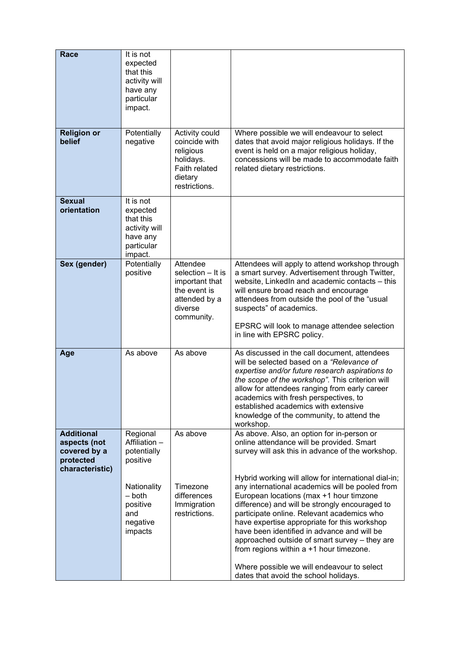| Race                                                                              | It is not<br>expected<br>that this<br>activity will<br>have any<br>particular<br>impact. |                                                                                                           |                                                                                                                                                                                                                                                                                                                                                                                                                                                                                             |
|-----------------------------------------------------------------------------------|------------------------------------------------------------------------------------------|-----------------------------------------------------------------------------------------------------------|---------------------------------------------------------------------------------------------------------------------------------------------------------------------------------------------------------------------------------------------------------------------------------------------------------------------------------------------------------------------------------------------------------------------------------------------------------------------------------------------|
| <b>Religion or</b><br>belief                                                      | Potentially<br>negative                                                                  | Activity could<br>coincide with<br>religious<br>holidays.<br>Faith related<br>dietary<br>restrictions.    | Where possible we will endeavour to select<br>dates that avoid major religious holidays. If the<br>event is held on a major religious holiday,<br>concessions will be made to accommodate faith<br>related dietary restrictions.                                                                                                                                                                                                                                                            |
| <b>Sexual</b><br>orientation                                                      | It is not<br>expected<br>that this<br>activity will<br>have any<br>particular<br>impact. |                                                                                                           |                                                                                                                                                                                                                                                                                                                                                                                                                                                                                             |
| Sex (gender)                                                                      | Potentially<br>positive                                                                  | Attendee<br>selection - It is<br>important that<br>the event is<br>attended by a<br>diverse<br>community. | Attendees will apply to attend workshop through<br>a smart survey. Advertisement through Twitter,<br>website, LinkedIn and academic contacts - this<br>will ensure broad reach and encourage<br>attendees from outside the pool of the "usual<br>suspects" of academics.<br>EPSRC will look to manage attendee selection<br>in line with EPSRC policy.                                                                                                                                      |
| Age                                                                               | As above                                                                                 | As above                                                                                                  | As discussed in the call document, attendees<br>will be selected based on a "Relevance of<br>expertise and/or future research aspirations to<br>the scope of the workshop". This criterion will<br>allow for attendees ranging from early career<br>academics with fresh perspectives, to<br>established academics with extensive<br>knowledge of the community, to attend the<br>workshop.                                                                                                 |
| <b>Additional</b><br>aspects (not<br>covered by a<br>protected<br>characteristic) | Regional<br>Affiliation -<br>potentially<br>positive                                     | As above                                                                                                  | As above. Also, an option for in-person or<br>online attendance will be provided. Smart<br>survey will ask this in advance of the workshop.                                                                                                                                                                                                                                                                                                                                                 |
|                                                                                   | Nationality<br>– both<br>positive<br>and<br>negative<br>impacts                          | Timezone<br>differences<br>Immigration<br>restrictions.                                                   | Hybrid working will allow for international dial-in;<br>any international academics will be pooled from<br>European locations (max +1 hour timzone<br>difference) and will be strongly encouraged to<br>participate online. Relevant academics who<br>have expertise appropriate for this workshop<br>have been identified in advance and will be<br>approached outside of smart survey - they are<br>from regions within a +1 hour timezone.<br>Where possible we will endeavour to select |
|                                                                                   |                                                                                          |                                                                                                           | dates that avoid the school holidays.                                                                                                                                                                                                                                                                                                                                                                                                                                                       |